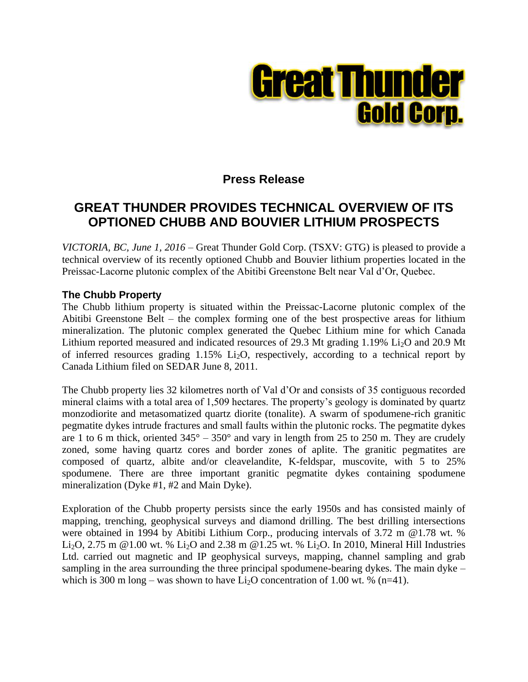

# **Press Release**

# **GREAT THUNDER PROVIDES TECHNICAL OVERVIEW OF ITS OPTIONED CHUBB AND BOUVIER LITHIUM PROSPECTS**

*VICTORIA, BC, June 1, 2016 –* Great Thunder Gold Corp. (TSXV: GTG) is pleased to provide a technical overview of its recently optioned Chubb and Bouvier lithium properties located in the Preissac-Lacorne plutonic complex of the Abitibi Greenstone Belt near Val d'Or, Quebec.

## **The Chubb Property**

The Chubb lithium property is situated within the Preissac-Lacorne plutonic complex of the Abitibi Greenstone Belt – the complex forming one of the best prospective areas for lithium mineralization. The plutonic complex generated the Quebec Lithium mine for which Canada Lithium reported measured and indicated resources of 29.3 Mt grading 1.19% Li<sub>2</sub>O and 20.9 Mt of inferred resources grading  $1.15\%$  Li<sub>2</sub>O, respectively, according to a technical report by Canada Lithium filed on SEDAR June 8, 2011.

The Chubb property lies 32 kilometres north of Val d'Or and consists of 35 contiguous recorded mineral claims with a total area of 1,509 hectares. The property's geology is dominated by quartz monzodiorite and metasomatized quartz diorite (tonalite). A swarm of spodumene-rich granitic pegmatite dykes intrude fractures and small faults within the plutonic rocks. The pegmatite dykes are 1 to 6 m thick, oriented  $345^{\circ} - 350^{\circ}$  and vary in length from 25 to 250 m. They are crudely zoned, some having quartz cores and border zones of aplite. The granitic pegmatites are composed of quartz, albite and/or cleavelandite, K-feldspar, muscovite, with 5 to 25% spodumene. There are three important granitic pegmatite dykes containing spodumene mineralization (Dyke #1, #2 and Main Dyke).

Exploration of the Chubb property persists since the early 1950s and has consisted mainly of mapping, trenching, geophysical surveys and diamond drilling. The best drilling intersections were obtained in 1994 by Abitibi Lithium Corp., producing intervals of 3.72 m @1.78 wt. % Li<sub>2</sub>O, 2.75 m @1.00 wt. % Li<sub>2</sub>O and 2.38 m @1.25 wt. % Li<sub>2</sub>O. In 2010, Mineral Hill Industries Ltd. carried out magnetic and IP geophysical surveys, mapping, channel sampling and grab sampling in the area surrounding the three principal spodumene-bearing dykes. The main dyke – which is 300 m long – was shown to have  $Li<sub>2</sub>O$  concentration of 1.00 wt. % (n=41).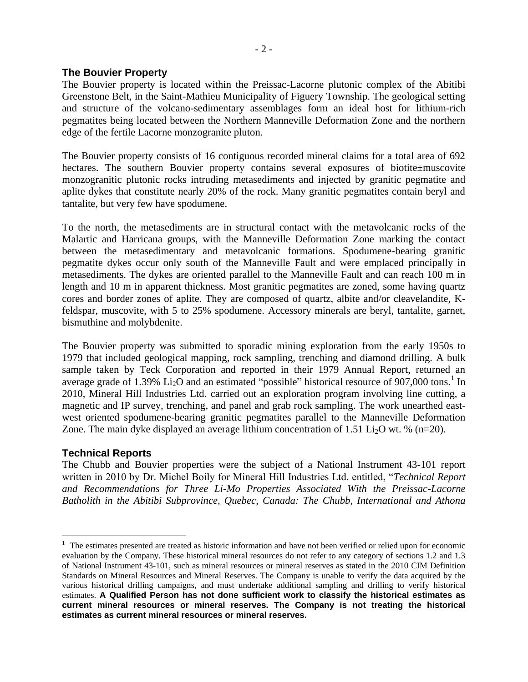### **The Bouvier Property**

The Bouvier property is located within the Preissac-Lacorne plutonic complex of the Abitibi Greenstone Belt, in the Saint-Mathieu Municipality of Figuery Township. The geological setting and structure of the volcano-sedimentary assemblages form an ideal host for lithium-rich pegmatites being located between the Northern Manneville Deformation Zone and the northern edge of the fertile Lacorne monzogranite pluton.

The Bouvier property consists of 16 contiguous recorded mineral claims for a total area of 692 hectares. The southern Bouvier property contains several exposures of biotite±muscovite monzogranitic plutonic rocks intruding metasediments and injected by granitic pegmatite and aplite dykes that constitute nearly 20% of the rock. Many granitic pegmatites contain beryl and tantalite, but very few have spodumene.

To the north, the metasediments are in structural contact with the metavolcanic rocks of the Malartic and Harricana groups, with the Manneville Deformation Zone marking the contact between the metasedimentary and metavolcanic formations. Spodumene-bearing granitic pegmatite dykes occur only south of the Manneville Fault and were emplaced principally in metasediments. The dykes are oriented parallel to the Manneville Fault and can reach 100 m in length and 10 m in apparent thickness. Most granitic pegmatites are zoned, some having quartz cores and border zones of aplite. They are composed of quartz, albite and/or cleavelandite, Kfeldspar, muscovite, with 5 to 25% spodumene. Accessory minerals are beryl, tantalite, garnet, bismuthine and molybdenite.

The Bouvier property was submitted to sporadic mining exploration from the early 1950s to 1979 that included geological mapping, rock sampling, trenching and diamond drilling. A bulk sample taken by Teck Corporation and reported in their 1979 Annual Report, returned an average grade of 1.39%  $Li<sub>2</sub>O$  and an estimated "possible" historical resource of 907,000 tons.<sup>1</sup> In 2010, Mineral Hill Industries Ltd. carried out an exploration program involving line cutting, a magnetic and IP survey, trenching, and panel and grab rock sampling. The work unearthed eastwest oriented spodumene-bearing granitic pegmatites parallel to the Manneville Deformation Zone. The main dyke displayed an average lithium concentration of 1.51 Li<sub>2</sub>O wt. % (n=20).

### **Technical Reports**

 $\overline{a}$ 

The Chubb and Bouvier properties were the subject of a National Instrument 43-101 report written in 2010 by Dr. Michel Boily for Mineral Hill Industries Ltd. entitled, "*Technical Report and Recommendations for Three Li-Mo Properties Associated With the Preissac-Lacorne Batholith in the Abitibi Subprovince, Quebec, Canada: The Chubb, International and Athona* 

 $1$  The estimates presented are treated as historic information and have not been verified or relied upon for economic evaluation by the Company. These historical mineral resources do not refer to any category of sections 1.2 and 1.3 of National Instrument 43-101, such as mineral resources or mineral reserves as stated in the 2010 CIM Definition Standards on Mineral Resources and Mineral Reserves. The Company is unable to verify the data acquired by the various historical drilling campaigns, and must undertake additional sampling and drilling to verify historical estimates. **A Qualified Person has not done sufficient work to classify the historical estimates as current mineral resources or mineral reserves. The Company is not treating the historical estimates as current mineral resources or mineral reserves.**